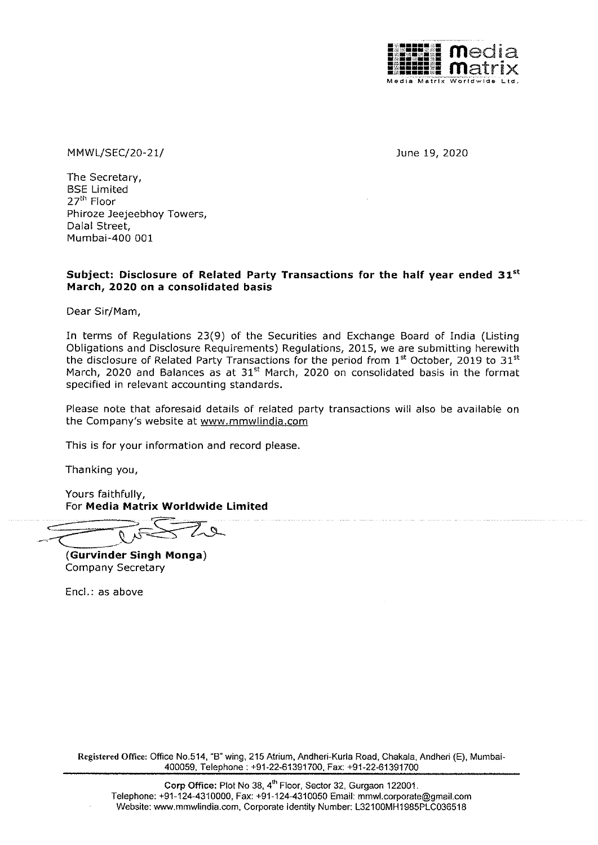

MMWL/SEC/20-21/ June 19, 2020

The Secretary, BSE Limited 27<sup>th</sup> Floor Phiroze Jeejeebhoy Towers, Dalal Street, Mumbai-400 001

# Subject: Disclosure of Related Party Transactions for the half year ended 31st March, 2020 on a consolidated basis

Dear Sir/Mam,

In terms of Regulations 23(9) of the Securities and Exchange Board of India (Listing Obligations and Disclosure Requirements) Regulations, 2015, we are submitting herewith the disclosure of Related Party Transactions for the period from  $1<sup>st</sup>$  October, 2019 to 31 $<sup>st</sup>$ </sup> March, 2020 and Balances as at 31<sup>st</sup> March, 2020 on consolidated basis in the format specified in relevant accounting standards.

Piease note that aforesaid details of related party transactions will also be available on the Company's website at www.mmwlindia.com

This is for your information and record please.

Thanking you,

Yours faithfully, For Media Matrix Worldwide Limited

: ne Yours faithfully,<br>For Media Matrix Worldwide L

(Gurvinder Singh Monga) Company Secretary

Encl.: as above

Registered Office: Office No.514, "B" wing, 215 Atrium, Andheri-Kurla Road, Chakala, Andheri (E), Mumbai-400059, Telephone : +91-22-61391700, Fax: +91-22-61391700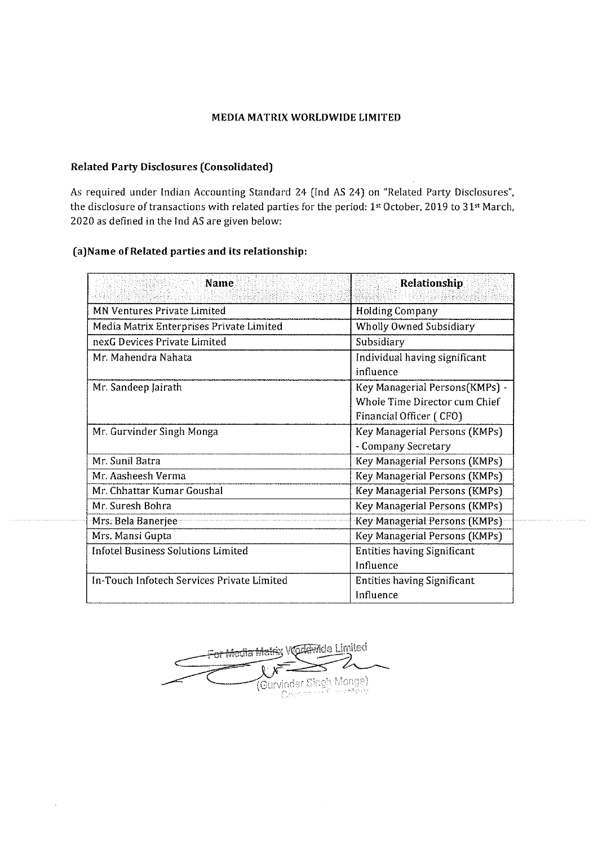# MEDIA MATRIX WORLDWIDE LIMITED

## Related Party Disclosures (Consolidated)

As required under Indian Accounting Standard 24 (Ind AS 24) on "Related Party Disclosures", the disclosure of transactions with related parties for the period: 1st October, 2019 to 31st March, 2020 as defined in the Ind AS are given below: MEDIA MATRIX W<br>
MEDIA MATRIX W<br>
ated Party Disclosures (Consolidated)<br>
required under Indian Accounting Standard 2<br>
disclosure of transactions with related parties<br>
0 as defined in the Ind AS are given below:<br>
Name<br>
Name MEDIA MATRIX W<br>
Ated Party Disclosures (Consolidated)<br>
required under Indian Accounting Standard 2<br>
disclosure of transactions with related parties<br>
0 as defined in the Ind AS are given below:<br>
Name of Related parties and

### {a)Name of Related parties and its relationship:

| <b>MEDIA MATRIX WORLDWIDE LIMITED</b>                                                                                                                                                        |                                                                                            |
|----------------------------------------------------------------------------------------------------------------------------------------------------------------------------------------------|--------------------------------------------------------------------------------------------|
| lated Party Disclosures (Consolidated)                                                                                                                                                       |                                                                                            |
| required under Indian Accounting Standard 24 (Ind AS 24) on "Related Party Disclosures",<br>disclosure of transactions with related parties for the period: 1st October, 2019 to 31st March, |                                                                                            |
| 20 as defined in the Ind AS are given below:                                                                                                                                                 |                                                                                            |
|                                                                                                                                                                                              |                                                                                            |
| )Name of Related parties and its relationship:                                                                                                                                               |                                                                                            |
| Name                                                                                                                                                                                         | Relationship                                                                               |
| MN Ventures Private Limited                                                                                                                                                                  | <b>Holding Company</b>                                                                     |
| Media Matrix Enterprises Private Limited                                                                                                                                                     | <b>Wholly Owned Subsidiary</b>                                                             |
| nexG Devices Private Limited                                                                                                                                                                 | Subsidiary                                                                                 |
| Mr. Mahendra Nahata                                                                                                                                                                          | Individual having significant<br>influence                                                 |
| Mr. Sandeep Jairath                                                                                                                                                                          | Key Managerial Persons(KMPs) -<br>Whole Time Director cum Chief<br>Financial Officer (CFO) |
| Mr. Gurvinder Singh Monga                                                                                                                                                                    | Key Managerial Persons (KMPs)<br>- Company Secretary                                       |
| Mr. Sunil Batra                                                                                                                                                                              | <b>Key Managerial Persons (KMPs)</b>                                                       |
| Mr. Aasheesh Verma                                                                                                                                                                           | Key Managerial Persons (KMPs)                                                              |
| Mr. Chhattar Kumar Goushal                                                                                                                                                                   | <b>Key Managerial Persons (KMPs)</b>                                                       |
| Mr. Suresh Bohra                                                                                                                                                                             | Key Managerial Persons (KMPs)                                                              |
| Mrs. Bela Banerjee                                                                                                                                                                           | Key Managerial Persons (KMPs)                                                              |
| Mrs. Mansi Gupta                                                                                                                                                                             | Key Managerial Persons (KMPs)                                                              |
| <b>Infotel Business Solutions Limited</b>                                                                                                                                                    | <b>Entities having Significant</b><br>Influence                                            |
| In-Touch Infotech Services Private Limited                                                                                                                                                   | <b>Entities having Significant</b>                                                         |